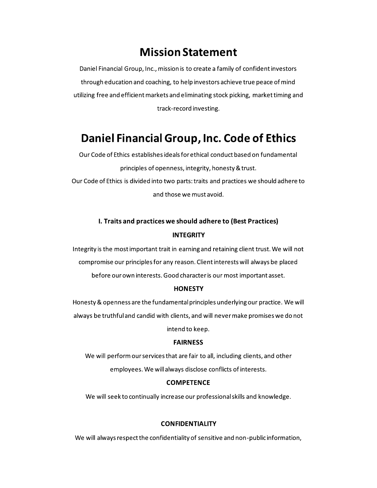# **Mission Statement**

Daniel Financial Group, Inc., mission is to create a family of confident investors through education and coaching, to help investors achieve true peace of mind utilizing free and efficient markets and eliminating stock picking, market timing and track-record investing.

# Daniel Financial Group, Inc. Code of Ethics

Our Code of Ethics establishes ideals for ethical conduct based on fundamental principles of openness, integrity, honesty & trust. Our Code of Ethics is divided into two parts: traits and practices we should adhere to and those we must avoid.

# I. Traits and practices we should adhere to (Best Practices)

# **INTEGRITY**

Integrity is the most important trait in earning and retaining client trust. We will not compromise our principles for any reason. Client interests will always be placed before our own interests. Good character is our most important asset.

# **HONESTY**

Honesty & openness are the fundamental principles underlying our practice. We will always be truthful and candid with clients, and will never make promises we do not

intend to keep.

# **FAIRNESS**

We will perform our services that are fair to all, including clients, and other employees. We will always disclose conflicts of interests.

# **COMPETENCE**

We will seek to continually increase our professional skills and knowledge.

# **CONFIDENTIALITY**

We will always respect the confidentiality of sensitive and non-public information,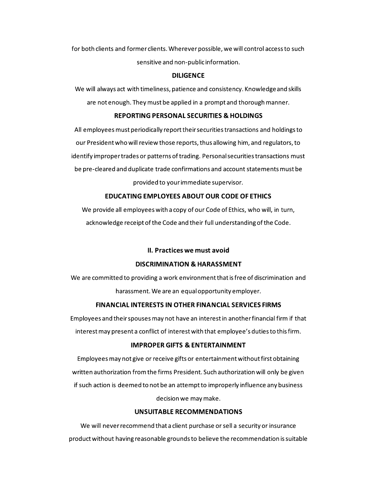for both clients and former clients. Wherever possible, we will control access to such sensitive and non-public information.

#### **DILIGENCE**

We will always act with timeliness, patience and consistency. Knowledge and skills are not enough. They must be applied in a prompt and thorough manner.

#### **REPORTING PERSONAL SECURITIES & HOLDINGS**

All employees must periodically report their securities transactions and holdings to our President who will review those reports, thus allowing him, and regulators, to identify improper trades or patterns of trading. Personal securities transactions must be pre-cleared and duplicate trade confirmations and account statements must be provided to your immediate supervisor.

#### **EDUCATING EMPLOYEES ABOUT OUR CODE OF ETHICS**

We provide all employees with a copy of our Code of Ethics, who will, in turn, acknowledge receipt of the Code and their full understanding of the Code.

#### II. Practices we must avoid

# **DISCRIMINATION & HARASSMENT**

We are committed to providing a work environment that is free of discrimination and harassment. We are an equal opportunity employer.

# **FINANCIAL INTERESTS IN OTHER FINANCIAL SERVICES FIRMS**

Employees and their spouses may not have an interest in another financial firm if that interest may present a conflict of interest with that employee's duties to this firm.

# **IMPROPER GIFTS & ENTERTAINMENT**

Employees may not give or receive gifts or entertainment without first obtaining written authorization from the firms President. Such authorization will only be given if such action is deemed to not be an attempt to improperly influence any business decision we may make.

#### **UNSUITABLE RECOMMENDATIONS**

We will never recommend that a client purchase or sell a security or insurance product without having reasonable grounds to believe the recommendation is suitable